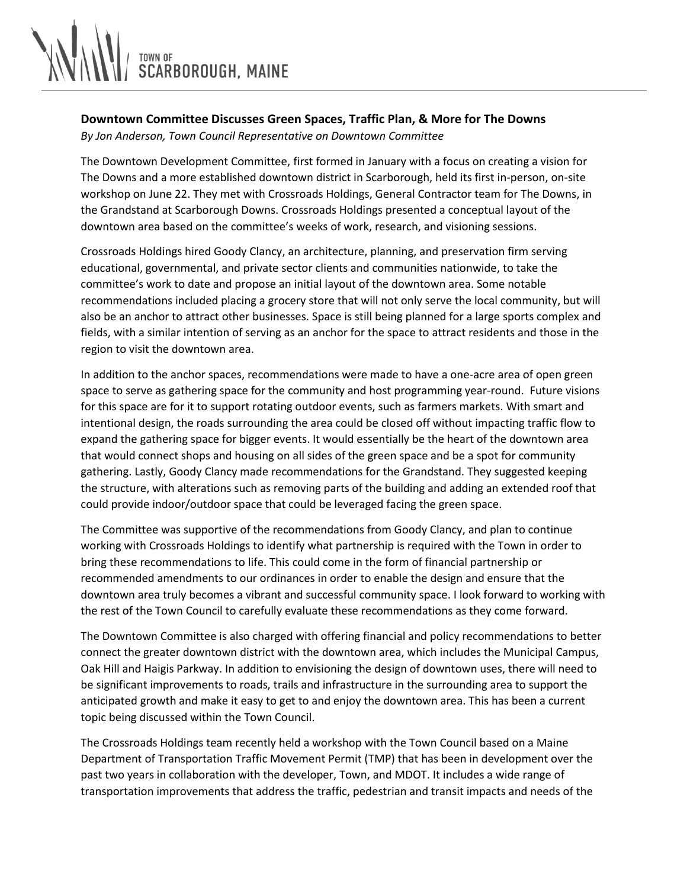

## **Downtown Committee Discusses Green Spaces, Traffic Plan, & More for The Downs**

*By Jon Anderson, Town Council Representative on Downtown Committee*

The Downtown Development Committee, first formed in January with a focus on creating a vision for The Downs and a more established downtown district in Scarborough, held its first in-person, on-site workshop on June 22. They met with Crossroads Holdings, General Contractor team for The Downs, in the Grandstand at Scarborough Downs. Crossroads Holdings presented a conceptual layout of the downtown area based on the committee's weeks of work, research, and visioning sessions.

Crossroads Holdings hired Goody Clancy, an architecture, planning, and preservation firm serving educational, governmental, and private sector clients and communities nationwide, to take the committee's work to date and propose an initial layout of the downtown area. Some notable recommendations included placing a grocery store that will not only serve the local community, but will also be an anchor to attract other businesses. Space is still being planned for a large sports complex and fields, with a similar intention of serving as an anchor for the space to attract residents and those in the region to visit the downtown area.

In addition to the anchor spaces, recommendations were made to have a one-acre area of open green space to serve as gathering space for the community and host programming year-round. Future visions for this space are for it to support rotating outdoor events, such as farmers markets. With smart and intentional design, the roads surrounding the area could be closed off without impacting traffic flow to expand the gathering space for bigger events. It would essentially be the heart of the downtown area that would connect shops and housing on all sides of the green space and be a spot for community gathering. Lastly, Goody Clancy made recommendations for the Grandstand. They suggested keeping the structure, with alterations such as removing parts of the building and adding an extended roof that could provide indoor/outdoor space that could be leveraged facing the green space.

The Committee was supportive of the recommendations from Goody Clancy, and plan to continue working with Crossroads Holdings to identify what partnership is required with the Town in order to bring these recommendations to life. This could come in the form of financial partnership or recommended amendments to our ordinances in order to enable the design and ensure that the downtown area truly becomes a vibrant and successful community space. I look forward to working with the rest of the Town Council to carefully evaluate these recommendations as they come forward.

The Downtown Committee is also charged with offering financial and policy recommendations to better connect the greater downtown district with the downtown area, which includes the Municipal Campus, Oak Hill and Haigis Parkway. In addition to envisioning the design of downtown uses, there will need to be significant improvements to roads, trails and infrastructure in the surrounding area to support the anticipated growth and make it easy to get to and enjoy the downtown area. This has been a current topic being discussed within the Town Council.

The Crossroads Holdings team recently held a workshop with the Town Council based on a Maine Department of Transportation Traffic Movement Permit (TMP) that has been in development over the past two years in collaboration with the developer, Town, and MDOT. It includes a wide range of transportation improvements that address the traffic, pedestrian and transit impacts and needs of the